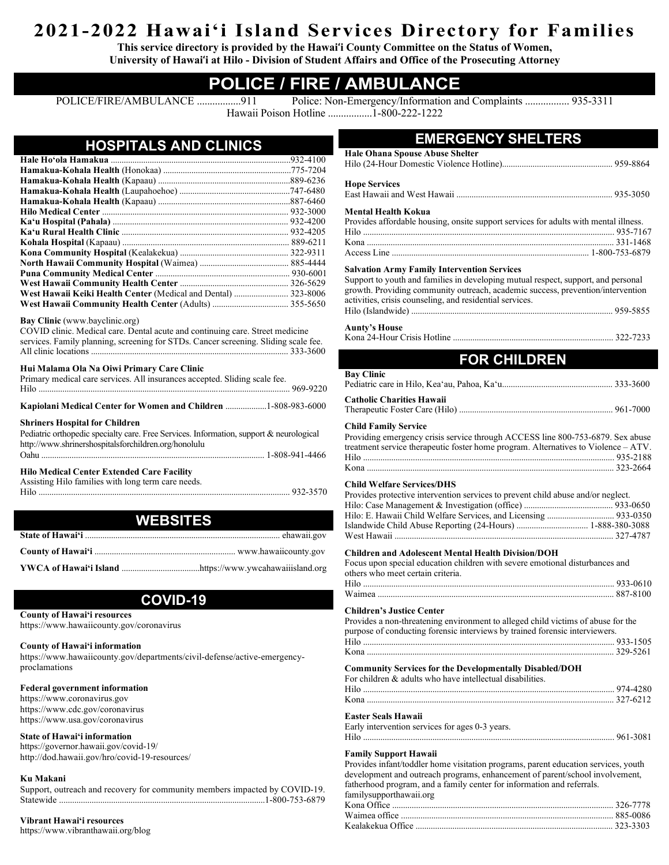# **2021-2022 Hawai'i Island Services Directory for Families**

**This service directory is provided by the Hawai'i County Committee on the Status of Women, University of Hawai'i at Hilo - Division of Student Affairs and Office of the Prosecuting Attorney**

# **POLICE / FIRE / AMBULANCE**

POLICE/FIRE/AMBULANCE .................911 Police: Non-Emergency/Information and Complaints ................. 935-3311 Hawaii Poison Hotline .................1-800-222-1222

| <b>HOSPITALS AND CLINICS</b> |  |  |  |
|------------------------------|--|--|--|
|                              |  |  |  |

| West Hawaii Keiki Health Center (Medical and Dental)  323-8006 |  |
|----------------------------------------------------------------|--|
|                                                                |  |

#### **Bay Clinic** (www.bayclinic.org)

| COVID clinic. Medical care. Dental acute and continuing care. Street medicine       |
|-------------------------------------------------------------------------------------|
| services. Family planning, screening for STDs. Cancer screening. Sliding scale fee. |
|                                                                                     |

#### **Hui Malama Ola Na Oiwi Primary Care Clinic**

| Primary medical care services. All insurances accepted. Sliding scale fee.                                                                                                               |  |
|------------------------------------------------------------------------------------------------------------------------------------------------------------------------------------------|--|
| Kapiolani Medical Center for Women and Children 1-808-983-6000                                                                                                                           |  |
| <b>Shriners Hospital for Children</b><br>Pediatric orthopedic specialty care. Free Services. Information, support & neurological<br>http://www.shrinershospitalsforchildren.org/honolulu |  |
| <b>Hilo Medical Center Extended Care Facility</b><br>Assisting Hilo families with long term care needs.                                                                                  |  |
| WERSITES                                                                                                                                                                                 |  |

# **WEBSITES**

# **COVID-19**

**County of Hawai'i resources**

https://www.hawaiicounty.gov/coronavirus

### **County of Hawai'i information**

https://www.hawaiicounty.gov/departments/civil-defense/active-emergencyproclamations

### **Federal government information**

https://www.coronavirus.gov https://www.cdc.gov/coronavirus https://www.usa.gov/coronavirus

### **State of Hawai'i information**

https://governor.hawaii.gov/covid-19/ http://dod.hawaii.gov/hro/covid-19-resources/

### **Ku Makani**

Support, outreach and recovery for community members impacted by COVID-19. Statewide ...............................................................................................1-800-753-6879

# **Vibrant Hawai'i resources**

https://www.vibranthawaii.org/blog

# **EMERGENCY SHELTERS**

| <b>Hale Ohana Spouse Abuse Shelter</b>                                                                                                                                                                                           |
|----------------------------------------------------------------------------------------------------------------------------------------------------------------------------------------------------------------------------------|
|                                                                                                                                                                                                                                  |
| <b>Hope Services</b>                                                                                                                                                                                                             |
|                                                                                                                                                                                                                                  |
| Mental Health Kokua                                                                                                                                                                                                              |
| Provides affordable housing, onsite support services for adults with mental illness.                                                                                                                                             |
|                                                                                                                                                                                                                                  |
|                                                                                                                                                                                                                                  |
|                                                                                                                                                                                                                                  |
| <b>Salvation Army Family Intervention Services</b>                                                                                                                                                                               |
| Support to youth and families in developing mutual respect, support, and personal<br>growth. Providing community outreach, academic success, prevention/intervention<br>activities, crisis counseling, and residential services. |
|                                                                                                                                                                                                                                  |
| Aunty's House                                                                                                                                                                                                                    |

| <b>Aunty's House</b> |  |
|----------------------|--|
|                      |  |

# **FOR CHILDREN**

| <b>Bay Clinic</b>                                                                                                                                                                                   |  |
|-----------------------------------------------------------------------------------------------------------------------------------------------------------------------------------------------------|--|
| <b>Catholic Charities Hawaii</b>                                                                                                                                                                    |  |
| <b>Child Family Service</b><br>Providing emergency crisis service through ACCESS line 800-753-6879. Sex abuse<br>treatment service therapeutic foster home program. Alternatives to Violence – ATV. |  |

| Providing emergency crisis service through ACCESS line 800-753-6879. Sex abuse     |  |
|------------------------------------------------------------------------------------|--|
| treatment service therapeutic foster home program. Alternatives to Violence – ATV. |  |
|                                                                                    |  |
|                                                                                    |  |
|                                                                                    |  |

### **Child Welfare Services/DHS**

| Provides protective intervention services to prevent child abuse and/or neglect. |  |
|----------------------------------------------------------------------------------|--|
|                                                                                  |  |
|                                                                                  |  |
|                                                                                  |  |
|                                                                                  |  |
|                                                                                  |  |

### **Children and Adolescent Mental Health Division/DOH**

Focus upon special education children with severe emotional disturbances and others who meet certain criteria.

### **Children's Justice Center**

| Provides a non-threatening environment to alleged child victims of abuse for the |
|----------------------------------------------------------------------------------|
| purpose of conducting forensic interviews by trained forensic interviewers.      |
|                                                                                  |
|                                                                                  |
|                                                                                  |

#### **Community Services for the Developmentally Disabled/DOH** adults who have

| For children & adults who have intellectual disabilities. |  |
|-----------------------------------------------------------|--|
|                                                           |  |
|                                                           |  |

# **Easter Seals Hawaii**

| Early intervention services for ages 0-3 years. |  |
|-------------------------------------------------|--|
|                                                 |  |

### **Family Support Hawaii**

Provides infant/toddler home visitation programs, parent education services, youth development and outreach programs, enhancement of parent/school involvement, fatherhood program, and a family center for information and referrals. familysupporthawaii.org Kona Office ...................................................................................................... 326-7778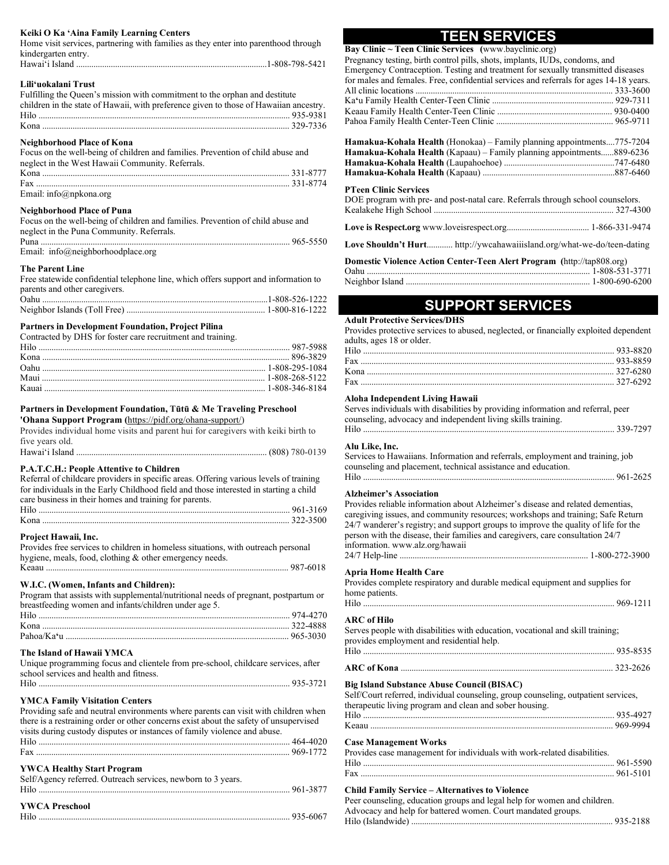#### **Keiki O Ka 'Aina Family Learning Centers**

Home visit services, partnering with families as they enter into parenthood through kindergarten entry.

# Hawai'i Island ........................................................................................1-808-798-5421

## **Lili'uokalani Trust**

| Fulfilling the Queen's mission with commitment to the orphan and destitute            |  |
|---------------------------------------------------------------------------------------|--|
| children in the state of Hawaii, with preference given to those of Hawaiian ancestry. |  |
|                                                                                       |  |
|                                                                                       |  |
|                                                                                       |  |

### **Neighborhood Place of Kona**

| Focus on the well-being of children and families. Prevention of child abuse and |  |
|---------------------------------------------------------------------------------|--|
| neglect in the West Hawaii Community. Referrals.                                |  |
|                                                                                 |  |
|                                                                                 |  |
| Email: info@npkona.org                                                          |  |

#### **Neighborhood Place of Puna**

| Focus on the well-being of children and families. Prevention of child abuse and |  |
|---------------------------------------------------------------------------------|--|
| neglect in the Puna Community. Referrals.                                       |  |
|                                                                                 |  |
| Email: $info@neighbourhoodplace.org$                                            |  |

#### **The Parent Line**

| Free statewide confidential telephone line, which offers support and information to |  |
|-------------------------------------------------------------------------------------|--|
| parents and other caregivers.                                                       |  |
|                                                                                     |  |
|                                                                                     |  |

#### **Partners in Development Foundation, Project Pilina**

| Contracted by DHS for foster care recruitment and training. |  |
|-------------------------------------------------------------|--|
|                                                             |  |
|                                                             |  |
|                                                             |  |
|                                                             |  |
|                                                             |  |

#### **Partners in Development Foundation, Tūtū & Me Traveling Preschool**

**'Ohana Support Program (**https://pidf.org/ohana-support/)

| Provides individual home visits and parent hui for caregivers with keiki birth to |  |
|-----------------------------------------------------------------------------------|--|
| five years old.                                                                   |  |
|                                                                                   |  |

#### **P.A.T.C.H.: People Attentive to Children**

| Referral of childcare providers in specific areas. Offering various levels of training |  |
|----------------------------------------------------------------------------------------|--|
| for individuals in the Early Childhood field and those interested in starting a child  |  |
| care business in their homes and training for parents.                                 |  |
|                                                                                        |  |
|                                                                                        |  |

#### **Project Hawaii, Inc.**

| Provides free services to children in homeless situations, with outreach personal |  |
|-----------------------------------------------------------------------------------|--|
| hygiene, meals, food, clothing & other emergency needs.                           |  |
|                                                                                   |  |

#### **W.I.C. (Women, Infants and Children):**

Program that assists with supplemental/nutritional needs of pregnant, postpartum or breastfeeding women and infants/children under age 5.

### **The Island of Hawaii YMCA**

| Unique programming focus and clientele from pre-school, childcare services, after |
|-----------------------------------------------------------------------------------|
| school services and health and fitness.                                           |
|                                                                                   |

### **YMCA Family Visitation Centers**

| Providing safe and neutral environments where parents can visit with children when    |  |
|---------------------------------------------------------------------------------------|--|
| there is a restraining order or other concerns exist about the safety of unsupervised |  |
| visits during custody disputes or instances of family violence and abuse.             |  |
|                                                                                       |  |
|                                                                                       |  |
|                                                                                       |  |

### **YWCA Healthy Start Program**

| Self/Agency referred. Outreach services, newborn to 3 years. |  |
|--------------------------------------------------------------|--|
| <b>YWCA Preschool</b>                                        |  |

# **TEEN SERVICES**

**Bay Clinic ~ Teen Clinic Services (**www.bayclinic.org) Pregnancy testing, birth control pills, shots, implants, IUDs, condoms, and Emergency Contraception. Testing and treatment for sexually transmitted diseases

| Emergency Contraception. Testing and treatment for sexually transmitted diseases       |  |
|----------------------------------------------------------------------------------------|--|
| for males and females. Free, confidential services and referrals for ages 14-18 years. |  |
|                                                                                        |  |
|                                                                                        |  |
|                                                                                        |  |
|                                                                                        |  |
|                                                                                        |  |

| <b>Hamakua-Kohala Health</b> (Honokaa) – Family planning appointments775-7204 |  |
|-------------------------------------------------------------------------------|--|
| <b>Hamakua-Kohala Health</b> (Kapaau) – Family planning appointments889-6236  |  |
|                                                                               |  |
|                                                                               |  |

#### **PTeen Clinic Services**

| DOE program with pre- and post-natal care. Referrals through school counselors. |  |
|---------------------------------------------------------------------------------|--|
|                                                                                 |  |
|                                                                                 |  |
|                                                                                 |  |

**Love Shouldn't Hurt**............ http://ywcahawaiiisland.org/what-we-do/teen-dating

| Domestic Violence Action Center-Teen Alert Program (http://tap808.org) |                                                            |
|------------------------------------------------------------------------|------------------------------------------------------------|
|                                                                        | Oahu …………………………………………………………………………………………… 1-808-531-3771    |
|                                                                        | Neighbor Island ……………………………………………………………………… 1-800-690-6200 |

# **SUPPORT SERVICES**

#### **Adult Protective Services/DHS**

Provides protective services to abused, neglected, or financially exploited dependent adults, ages 18 or older.

#### **Aloha Independent Living Hawaii**

Serves individuals with disabilities by providing information and referral, peer counseling, advocacy and independent living skills training.

| 220 7207 |
|----------|
|          |

#### **Alu Like, Inc.**

| Services to Hawaiians. Information and referrals, employment and training, job |  |
|--------------------------------------------------------------------------------|--|
| counseling and placement, technical assistance and education.                  |  |
|                                                                                |  |

#### **Alzheimer's Association**

Provides reliable information about Alzheimer's disease and related dementias, caregiving issues, and community resources; workshops and training; Safe Return 24/7 wanderer's registry; and support groups to improve the quality of life for the person with the disease, their families and caregivers, care consultation 24/7 information. www.alz.org/hawaii 24/7 Help-line ....................................................................................... 1-800-272-3900

#### **Apria Home Health Care**

| Provides complete respiratory and durable medical equipment and supplies for |  |
|------------------------------------------------------------------------------|--|
| home patients.                                                               |  |

# Hilo .................................................................................................................... 969-1211

# **ARC of Hilo**

| Serves people with disabilities with education, vocational and skill training; |  |
|--------------------------------------------------------------------------------|--|
| provides employment and residential help.                                      |  |
|                                                                                |  |
|                                                                                |  |

#### **Big Island Substance Abuse Council (BISAC)**

Self/Court referred, individual counseling, group counseling, outpatient services, therapeutic living program and clean and sober housing.

| therapeutic fiving program and clean and sover housing. |  |
|---------------------------------------------------------|--|
|                                                         |  |
|                                                         |  |

#### **Case Management Works**

| Provides case management for individuals with work-related disabilities. |  |
|--------------------------------------------------------------------------|--|
|                                                                          |  |
|                                                                          |  |
|                                                                          |  |

## **Child Family Service – Alternatives to Violence**

| Peer counseling, education groups and legal help for women and children. |  |
|--------------------------------------------------------------------------|--|
| Advocacy and help for battered women. Court mandated groups.             |  |
|                                                                          |  |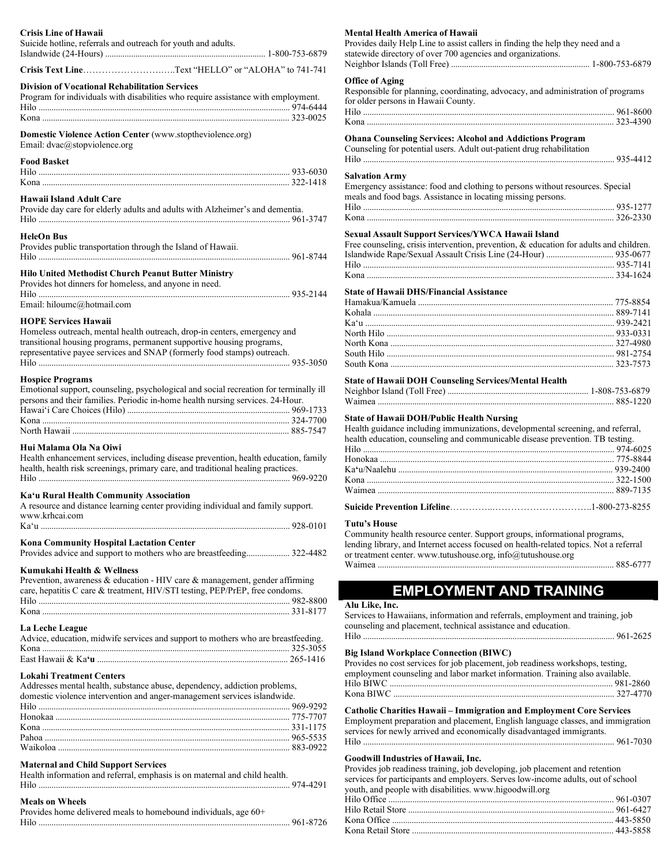| <b>Crisis Line of Hawaii</b><br>Suicide hotline, referrals and outreach for youth and adults.                                                      | <b>Mental Health America of Hawaii</b><br>Provides daily Help Line to assist callers in finding the help they need and a<br>statewide directory of over 700 agencies and organizations. |
|----------------------------------------------------------------------------------------------------------------------------------------------------|-----------------------------------------------------------------------------------------------------------------------------------------------------------------------------------------|
| Crisis Text LineText "HELLO" or "ALOHA" to 741-741                                                                                                 |                                                                                                                                                                                         |
| <b>Division of Vocational Rehabilitation Services</b><br>Program for individuals with disabilities who require assistance with employment.         | <b>Office of Aging</b><br>Responsible for planning, coordinating, advocacy, and administration of programs<br>for older persons in Hawaii County.                                       |
| Domestic Violence Action Center (www.stoptheviolence.org)<br>Email: dvac@stopviolence.org                                                          | <b>Ohana Counseling Services: Alcohol and Addictions Program</b><br>Counseling for potential users. A dult out-patient drug rehabilitation                                              |
| <b>Food Basket</b>                                                                                                                                 | <b>Salvation Army</b>                                                                                                                                                                   |
| Hawaii Island Adult Care                                                                                                                           | Emergency assistance: food and clothing to persons without resources. Special<br>meals and food bags. Assistance in locating missing persons.                                           |
| Provide day care for elderly adults and adults with Alzheimer's and dementia.                                                                      |                                                                                                                                                                                         |
| <b>HeleOn Bus</b>                                                                                                                                  | Sexual Assault Support Services/YWCA Hawaii Island                                                                                                                                      |
| Provides public transportation through the Island of Hawaii.                                                                                       | Free counseling, crisis intervention, prevention, & education for adults and children.                                                                                                  |
| Hilo United Methodist Church Peanut Butter Ministry                                                                                                |                                                                                                                                                                                         |
| Provides hot dinners for homeless, and anyone in need.                                                                                             |                                                                                                                                                                                         |
| Email: hiloumc@hotmail.com                                                                                                                         | <b>State of Hawaii DHS/Financial Assistance</b>                                                                                                                                         |
|                                                                                                                                                    |                                                                                                                                                                                         |
| <b>HOPE Services Hawaii</b>                                                                                                                        |                                                                                                                                                                                         |
| Homeless outreach, mental health outreach, drop-in centers, emergency and<br>transitional housing programs, permanent supportive housing programs, |                                                                                                                                                                                         |
| representative payee services and SNAP (formerly food stamps) outreach.                                                                            |                                                                                                                                                                                         |
|                                                                                                                                                    |                                                                                                                                                                                         |
|                                                                                                                                                    |                                                                                                                                                                                         |
| <b>Hospice Programs</b><br>Emotional support, counseling, psychological and social recreation for terminally ill                                   | <b>State of Hawaii DOH Counseling Services/Mental Health</b>                                                                                                                            |
| persons and their families. Periodic in-home health nursing services. 24-Hour.                                                                     |                                                                                                                                                                                         |
|                                                                                                                                                    |                                                                                                                                                                                         |
|                                                                                                                                                    | <b>State of Hawaii DOH/Public Health Nursing</b>                                                                                                                                        |
|                                                                                                                                                    | Health guidance including immunizations, developmental screening, and referral,<br>health education, counseling and communicable disease prevention. TB testing.                        |
| Hui Malama Ola Na Oiwi                                                                                                                             |                                                                                                                                                                                         |
| Health enhancement services, including disease prevention, health education, family                                                                |                                                                                                                                                                                         |
| health, health risk screenings, primary care, and traditional healing practices.                                                                   |                                                                                                                                                                                         |
|                                                                                                                                                    |                                                                                                                                                                                         |
| Ka'u Rural Health Community Association                                                                                                            |                                                                                                                                                                                         |
| A resource and distance learning center providing individual and family support.<br>www.krheai.com                                                 |                                                                                                                                                                                         |
|                                                                                                                                                    | Tutu's House                                                                                                                                                                            |
| Kona Community Hospital Lactation Center                                                                                                           | Community health resource center. Support groups, informational programs,<br>lending library, and Internet access focused on health-related topics. Not a referral                      |
| Provides advice and support to mothers who are breastfeeding 322-4482                                                                              | or treatment center. www.tutushouse.org, info@tutushouse.org                                                                                                                            |
|                                                                                                                                                    |                                                                                                                                                                                         |
| Kumukahi Health & Wellness<br>Prevention, awareness & education - HIV care & management, gender affirming                                          |                                                                                                                                                                                         |
| care, hepatitis C care & treatment, HIV/STI testing, PEP/PrEP, free condoms.                                                                       | <b>EMPLOYMENT AND TRAINING</b>                                                                                                                                                          |
|                                                                                                                                                    |                                                                                                                                                                                         |
|                                                                                                                                                    | Alu Like, Inc.<br>Services to Hawaiians, information and referrals, employment and training, job                                                                                        |
| La Leche League                                                                                                                                    | counseling and placement, technical assistance and education.                                                                                                                           |
| Advice, education, midwife services and support to mothers who are breastfeeding.                                                                  |                                                                                                                                                                                         |
|                                                                                                                                                    | <b>Big Island Workplace Connection (BIWC)</b>                                                                                                                                           |
|                                                                                                                                                    | Provides no cost services for job placement, job readiness workshops, testing,                                                                                                          |
| <b>Lokahi Treatment Centers</b>                                                                                                                    | employment counseling and labor market information. Training also available.                                                                                                            |
| Addresses mental health, substance abuse, dependency, addiction problems,                                                                          |                                                                                                                                                                                         |
| domestic violence intervention and anger-management services islandwide.                                                                           |                                                                                                                                                                                         |
|                                                                                                                                                    | <b>Catholic Charities Hawaii – Immigration and Employment Core Services</b>                                                                                                             |
|                                                                                                                                                    | Employment preparation and placement, English language classes, and immigration                                                                                                         |
|                                                                                                                                                    | services for newly arrived and economically disadvantaged immigrants.                                                                                                                   |
|                                                                                                                                                    |                                                                                                                                                                                         |
|                                                                                                                                                    |                                                                                                                                                                                         |

# **Maternal and Child Support Services**

| Health information and referral, emphasis is on maternal and child health. |  |
|----------------------------------------------------------------------------|--|
|                                                                            |  |

### **Meals on Wheels**

Provides home delivered meals to homebound individuals, age 60+ Hilo .................................................................................................................... 961-8726

#### **Mental Health America of Hawaii**

| Mental Health America of Hawaii                                                           |  |
|-------------------------------------------------------------------------------------------|--|
| Provides daily Help Line to assist callers in finding the help they need and a            |  |
| statewide directory of over 700 agencies and organizations.                               |  |
|                                                                                           |  |
| <b>Office of Aging</b>                                                                    |  |
| Responsible for planning, coordinating, advocacy, and administration of programs          |  |
| for older persons in Hawaii County.                                                       |  |
|                                                                                           |  |
|                                                                                           |  |
|                                                                                           |  |
| <b>Ohana Counseling Services: Alcohol and Addictions Program</b>                          |  |
| Counseling for potential users. Adult out-patient drug rehabilitation                     |  |
|                                                                                           |  |
|                                                                                           |  |
| <b>Salvation Army</b>                                                                     |  |
| Emergency assistance: food and clothing to persons without resources. Special             |  |
| meals and food bags. Assistance in locating missing persons.                              |  |
|                                                                                           |  |
|                                                                                           |  |
| Sexual Assault Support Services/YWCA Hawaii Island                                        |  |
| Free counseling, crisis intervention, prevention, $\&$ education for adults and children. |  |
| Islandwide Rape/Sexual Assault Crisis Line (24-Hour)  935-0677                            |  |
|                                                                                           |  |
|                                                                                           |  |
| <b>State of Hawaii DHS/Financial Assistance</b>                                           |  |
|                                                                                           |  |
|                                                                                           |  |
|                                                                                           |  |
|                                                                                           |  |
|                                                                                           |  |

#### **State of Hawaii DOH Counseling Services/Mental Health**

#### **State of Hawaii DOH/Public Health Nursing**

#### **Tutu's House**

# **EMPLOYMENT AND TRAINING**

#### Like, Inc.

| $\mathbf{D}_{\text{in}}^*$ Leland Wankulass Counsetion (DIWC)                  |  |
|--------------------------------------------------------------------------------|--|
|                                                                                |  |
| counseling and placement, technical assistance and education.                  |  |
| Services to Hawaiians, information and referrals, employment and training, job |  |
|                                                                                |  |

#### **Big Island Workplace Connection (BIWC)**

| Provides no cost services for job placement, job readiness workshops, testing, |  |  |
|--------------------------------------------------------------------------------|--|--|
| employment counseling and labor market information. Training also available.   |  |  |
|                                                                                |  |  |
|                                                                                |  |  |

#### **Catholic Charities Hawaii – Immigration and Employment Core Services** Employment preparation and placement, English language classes, and immigration

| services for newly arrived and economically disadvantaged immigrants. |  |
|-----------------------------------------------------------------------|--|
|                                                                       |  |

#### **Goodwill Industries of Hawaii, Inc.**

Provides job readiness training, job developing, job placement and retention services for participants and employers. Serves low-income adults, out of school youth, and people with disabilities. www.higoodwill.org

| $100000$ may propre with endedlines. We will have convenience |  |
|---------------------------------------------------------------|--|
|                                                               |  |
|                                                               |  |
|                                                               |  |
|                                                               |  |
|                                                               |  |